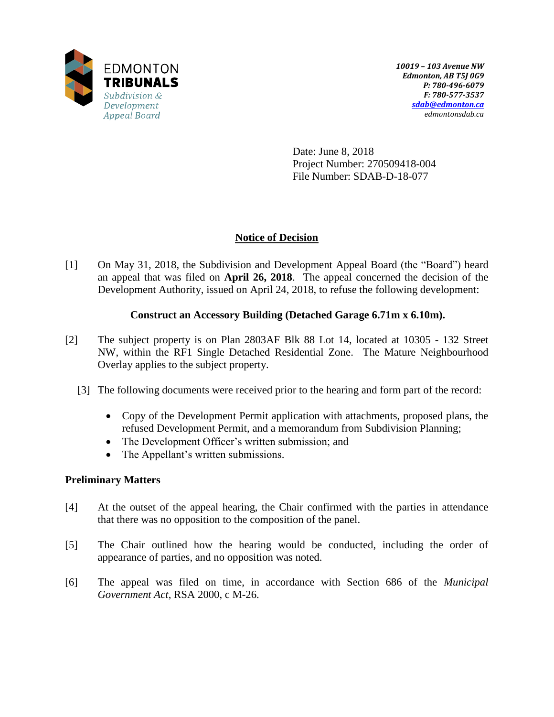

Date: June 8, 2018 Project Number: 270509418-004 File Number: SDAB-D-18-077

## **Notice of Decision**

[1] On May 31, 2018, the Subdivision and Development Appeal Board (the "Board") heard an appeal that was filed on **April 26, 2018**. The appeal concerned the decision of the Development Authority, issued on April 24, 2018, to refuse the following development:

## **Construct an Accessory Building (Detached Garage 6.71m x 6.10m).**

- [2] The subject property is on Plan 2803AF Blk 88 Lot 14, located at 10305 132 Street NW, within the RF1 Single Detached Residential Zone. The Mature Neighbourhood Overlay applies to the subject property.
	- [3] The following documents were received prior to the hearing and form part of the record:
		- Copy of the Development Permit application with attachments, proposed plans, the refused Development Permit, and a memorandum from Subdivision Planning;
		- The Development Officer's written submission; and
		- The Appellant's written submissions.

## **Preliminary Matters**

- [4] At the outset of the appeal hearing, the Chair confirmed with the parties in attendance that there was no opposition to the composition of the panel.
- [5] The Chair outlined how the hearing would be conducted, including the order of appearance of parties, and no opposition was noted.
- [6] The appeal was filed on time, in accordance with Section 686 of the *Municipal Government Act*, RSA 2000, c M-26.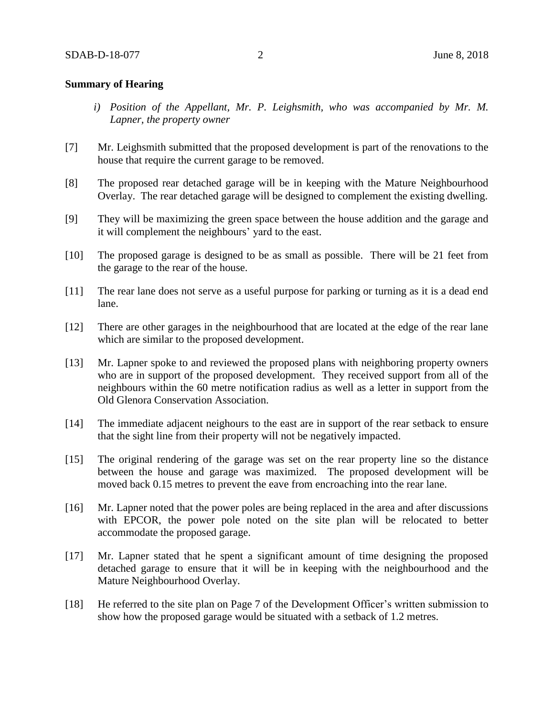#### **Summary of Hearing**

- *i) Position of the Appellant, Mr. P. Leighsmith, who was accompanied by Mr. M. Lapner, the property owner*
- [7] Mr. Leighsmith submitted that the proposed development is part of the renovations to the house that require the current garage to be removed.
- [8] The proposed rear detached garage will be in keeping with the Mature Neighbourhood Overlay. The rear detached garage will be designed to complement the existing dwelling.
- [9] They will be maximizing the green space between the house addition and the garage and it will complement the neighbours' yard to the east.
- [10] The proposed garage is designed to be as small as possible. There will be 21 feet from the garage to the rear of the house.
- [11] The rear lane does not serve as a useful purpose for parking or turning as it is a dead end lane.
- [12] There are other garages in the neighbourhood that are located at the edge of the rear lane which are similar to the proposed development.
- [13] Mr. Lapner spoke to and reviewed the proposed plans with neighboring property owners who are in support of the proposed development. They received support from all of the neighbours within the 60 metre notification radius as well as a letter in support from the Old Glenora Conservation Association.
- [14] The immediate adjacent neighours to the east are in support of the rear setback to ensure that the sight line from their property will not be negatively impacted.
- [15] The original rendering of the garage was set on the rear property line so the distance between the house and garage was maximized. The proposed development will be moved back 0.15 metres to prevent the eave from encroaching into the rear lane.
- [16] Mr. Lapner noted that the power poles are being replaced in the area and after discussions with EPCOR, the power pole noted on the site plan will be relocated to better accommodate the proposed garage.
- [17] Mr. Lapner stated that he spent a significant amount of time designing the proposed detached garage to ensure that it will be in keeping with the neighbourhood and the Mature Neighbourhood Overlay.
- [18] He referred to the site plan on Page 7 of the Development Officer's written submission to show how the proposed garage would be situated with a setback of 1.2 metres.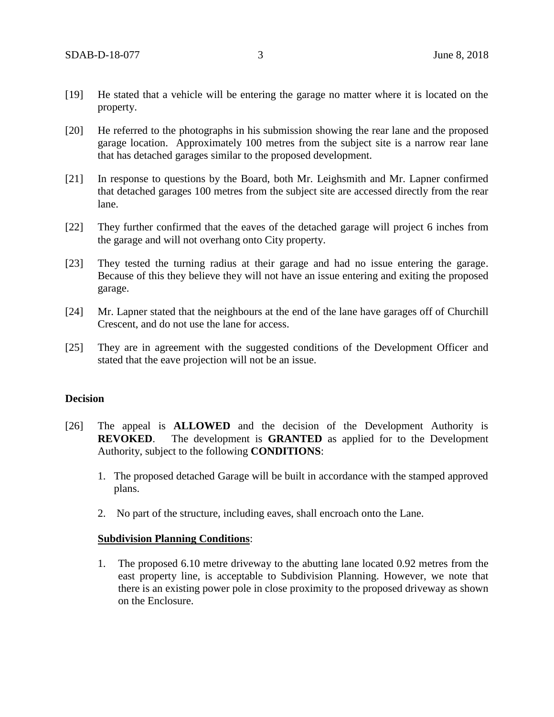- [19] He stated that a vehicle will be entering the garage no matter where it is located on the property.
- [20] He referred to the photographs in his submission showing the rear lane and the proposed garage location. Approximately 100 metres from the subject site is a narrow rear lane that has detached garages similar to the proposed development.
- [21] In response to questions by the Board, both Mr. Leighsmith and Mr. Lapner confirmed that detached garages 100 metres from the subject site are accessed directly from the rear lane.
- [22] They further confirmed that the eaves of the detached garage will project 6 inches from the garage and will not overhang onto City property.
- [23] They tested the turning radius at their garage and had no issue entering the garage. Because of this they believe they will not have an issue entering and exiting the proposed garage.
- [24] Mr. Lapner stated that the neighbours at the end of the lane have garages off of Churchill Crescent, and do not use the lane for access.
- [25] They are in agreement with the suggested conditions of the Development Officer and stated that the eave projection will not be an issue.

#### **Decision**

- [26] The appeal is **ALLOWED** and the decision of the Development Authority is **REVOKED**. The development is **GRANTED** as applied for to the Development Authority, subject to the following **CONDITIONS**:
	- 1. The proposed detached Garage will be built in accordance with the stamped approved plans.
	- 2. No part of the structure, including eaves, shall encroach onto the Lane.

#### **Subdivision Planning Conditions**:

1. The proposed 6.10 metre driveway to the abutting lane located 0.92 metres from the east property line, is acceptable to Subdivision Planning. However, we note that there is an existing power pole in close proximity to the proposed driveway as shown on the Enclosure.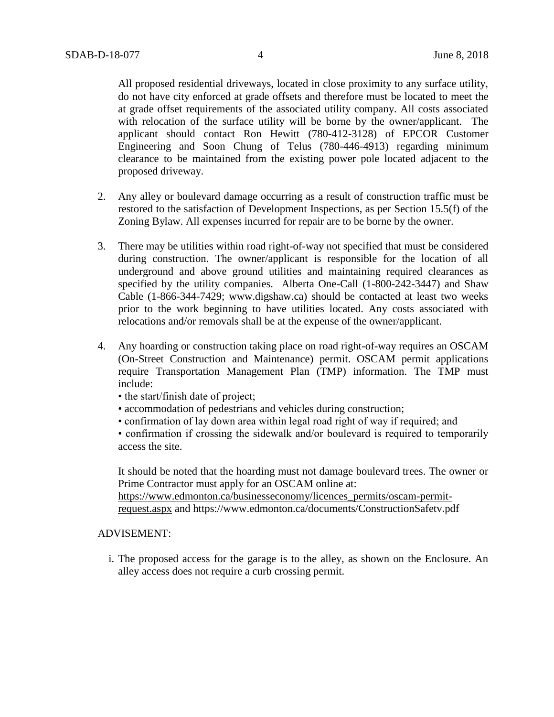All proposed residential driveways, located in close proximity to any surface utility, do not have city enforced at grade offsets and therefore must be located to meet the at grade offset requirements of the associated utility company. All costs associated with relocation of the surface utility will be borne by the owner/applicant. The applicant should contact Ron Hewitt (780-412-3128) of EPCOR Customer Engineering and Soon Chung of Telus (780-446-4913) regarding minimum clearance to be maintained from the existing power pole located adjacent to the proposed driveway.

- 2. Any alley or boulevard damage occurring as a result of construction traffic must be restored to the satisfaction of Development Inspections, as per Section 15.5(f) of the Zoning Bylaw. All expenses incurred for repair are to be borne by the owner.
- 3. There may be utilities within road right-of-way not specified that must be considered during construction. The owner/applicant is responsible for the location of all underground and above ground utilities and maintaining required clearances as specified by the utility companies. Alberta One-Call (1-800-242-3447) and Shaw Cable (1-866-344-7429; www.digshaw.ca) should be contacted at least two weeks prior to the work beginning to have utilities located. Any costs associated with relocations and/or removals shall be at the expense of the owner/applicant.
- 4. Any hoarding or construction taking place on road right-of-way requires an OSCAM (On-Street Construction and Maintenance) permit. OSCAM permit applications require Transportation Management Plan (TMP) information. The TMP must include:
	- the start/finish date of project;
	- accommodation of pedestrians and vehicles during construction;
	- confirmation of lay down area within legal road right of way if required; and

• confirmation if crossing the sidewalk and/or boulevard is required to temporarily access the site.

It should be noted that the hoarding must not damage boulevard trees. The owner or Prime Contractor must apply for an OSCAM online at:

[https://www.edmonton.ca/businesseconomy/licences\\_permits/oscam-permit](https://www.edmonton.ca/businesseconomy/licences_permits/oscam-permit-request.aspx)[request.aspx](https://www.edmonton.ca/businesseconomy/licences_permits/oscam-permit-request.aspx) and https://www.edmonton.ca/documents/ConstructionSafetv.pdf

#### ADVISEMENT:

i. The proposed access for the garage is to the alley, as shown on the Enclosure. An alley access does not require a curb crossing permit.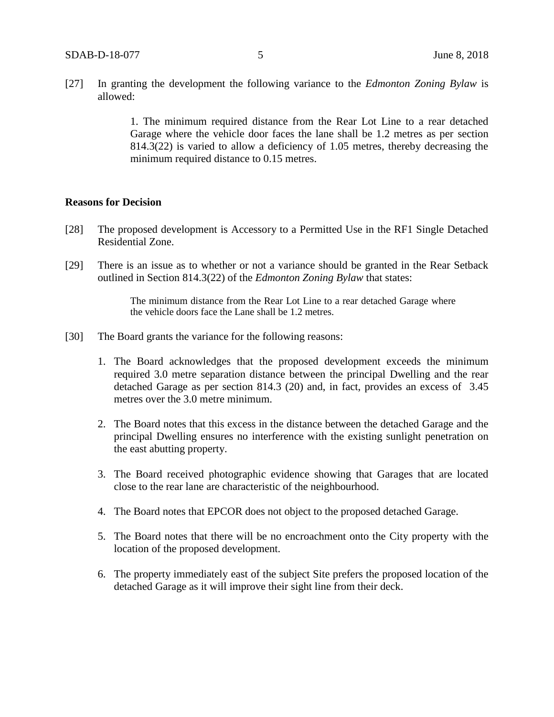[27] In granting the development the following variance to the *Edmonton Zoning Bylaw* is allowed:

> 1. The minimum required distance from the Rear Lot Line to a rear detached Garage where the vehicle door faces the lane shall be 1.2 metres as per section 814.3(22) is varied to allow a deficiency of 1.05 metres, thereby decreasing the minimum required distance to 0.15 metres.

#### **Reasons for Decision**

- [28] The proposed development is Accessory to a Permitted Use in the RF1 Single Detached Residential Zone.
- [29] There is an issue as to whether or not a variance should be granted in the Rear Setback outlined in Section 814.3(22) of the *Edmonton Zoning Bylaw* that states:

The minimum distance from the Rear Lot Line to a rear detached Garage where the vehicle doors face the Lane shall be 1.2 metres.

- [30] The Board grants the variance for the following reasons:
	- 1. The Board acknowledges that the proposed development exceeds the minimum required 3.0 metre separation distance between the principal Dwelling and the rear detached Garage as per section 814.3 (20) and, in fact, provides an excess of 3.45 metres over the 3.0 metre minimum.
	- 2. The Board notes that this excess in the distance between the detached Garage and the principal Dwelling ensures no interference with the existing sunlight penetration on the east abutting property.
	- 3. The Board received photographic evidence showing that Garages that are located close to the rear lane are characteristic of the neighbourhood.
	- 4. The Board notes that EPCOR does not object to the proposed detached Garage.
	- 5. The Board notes that there will be no encroachment onto the City property with the location of the proposed development.
	- 6. The property immediately east of the subject Site prefers the proposed location of the detached Garage as it will improve their sight line from their deck.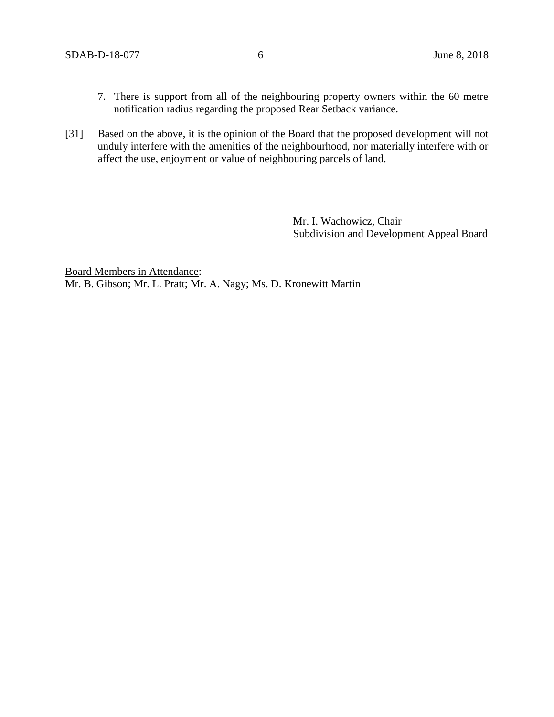- 7. There is support from all of the neighbouring property owners within the 60 metre notification radius regarding the proposed Rear Setback variance.
- [31] Based on the above, it is the opinion of the Board that the proposed development will not unduly interfere with the amenities of the neighbourhood, nor materially interfere with or affect the use, enjoyment or value of neighbouring parcels of land.

Mr. I. Wachowicz, Chair Subdivision and Development Appeal Board

Board Members in Attendance: Mr. B. Gibson; Mr. L. Pratt; Mr. A. Nagy; Ms. D. Kronewitt Martin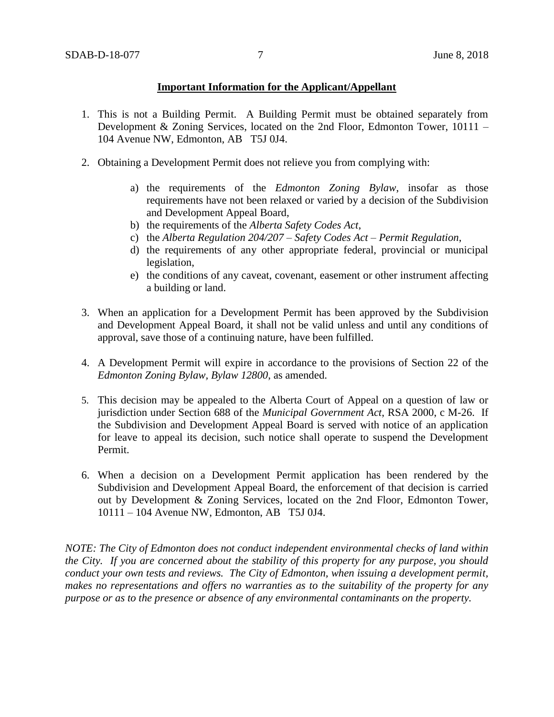#### **Important Information for the Applicant/Appellant**

- 1. This is not a Building Permit. A Building Permit must be obtained separately from Development & Zoning Services, located on the 2nd Floor, Edmonton Tower, 10111 – 104 Avenue NW, Edmonton, AB T5J 0J4.
- 2. Obtaining a Development Permit does not relieve you from complying with:
	- a) the requirements of the *Edmonton Zoning Bylaw*, insofar as those requirements have not been relaxed or varied by a decision of the Subdivision and Development Appeal Board,
	- b) the requirements of the *Alberta Safety Codes Act*,
	- c) the *Alberta Regulation 204/207 – Safety Codes Act – Permit Regulation*,
	- d) the requirements of any other appropriate federal, provincial or municipal legislation,
	- e) the conditions of any caveat, covenant, easement or other instrument affecting a building or land.
- 3. When an application for a Development Permit has been approved by the Subdivision and Development Appeal Board, it shall not be valid unless and until any conditions of approval, save those of a continuing nature, have been fulfilled.
- 4. A Development Permit will expire in accordance to the provisions of Section 22 of the *Edmonton Zoning Bylaw, Bylaw 12800*, as amended.
- 5. This decision may be appealed to the Alberta Court of Appeal on a question of law or jurisdiction under Section 688 of the *Municipal Government Act*, RSA 2000, c M-26. If the Subdivision and Development Appeal Board is served with notice of an application for leave to appeal its decision, such notice shall operate to suspend the Development Permit.
- 6. When a decision on a Development Permit application has been rendered by the Subdivision and Development Appeal Board, the enforcement of that decision is carried out by Development & Zoning Services, located on the 2nd Floor, Edmonton Tower, 10111 – 104 Avenue NW, Edmonton, AB T5J 0J4.

*NOTE: The City of Edmonton does not conduct independent environmental checks of land within the City. If you are concerned about the stability of this property for any purpose, you should conduct your own tests and reviews. The City of Edmonton, when issuing a development permit, makes no representations and offers no warranties as to the suitability of the property for any purpose or as to the presence or absence of any environmental contaminants on the property.*